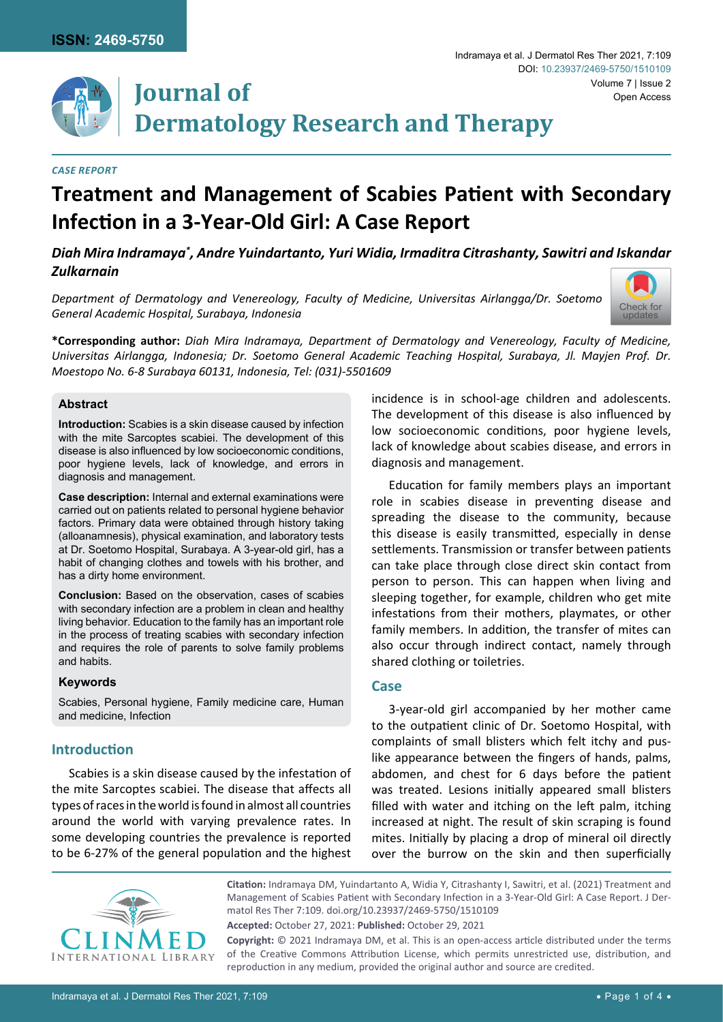

# **Journal of Dermatology Research and Therapy**

#### *Case Report*

# **Treatment and Management of Scabies Patient with Secondary Infection in a 3-Year-Old Girl: A Case Report**

*Diah Mira Indramaya\* , Andre Yuindartanto, Yuri Widia, Irmaditra Citrashanty, Sawitri and Iskandar Zulkarnain*

*Department of Dermatology and Venereology, Faculty of Medicine, Universitas Airlangga/Dr. Soetomo General Academic Hospital, Surabaya, Indonesia*



**\*Corresponding author:** *Diah Mira Indramaya, Department of Dermatology and Venereology, Faculty of Medicine, Universitas Airlangga, Indonesia; Dr. Soetomo General Academic Teaching Hospital, Surabaya, Jl. Mayjen Prof. Dr. Moestopo No. 6-8 Surabaya 60131, Indonesia, Tel: (031)-5501609*

## **Abstract**

**Introduction:** Scabies is a skin disease caused by infection with the mite Sarcoptes scabiei. The development of this disease is also influenced by low socioeconomic conditions, poor hygiene levels, lack of knowledge, and errors in diagnosis and management.

**Case description:** Internal and external examinations were carried out on patients related to personal hygiene behavior factors. Primary data were obtained through history taking (alloanamnesis), physical examination, and laboratory tests at Dr. Soetomo Hospital, Surabaya. A 3-year-old girl, has a habit of changing clothes and towels with his brother, and has a dirty home environment.

**Conclusion:** Based on the observation, cases of scabies with secondary infection are a problem in clean and healthy living behavior. Education to the family has an important role in the process of treating scabies with secondary infection and requires the role of parents to solve family problems and habits.

## **Keywords**

Scabies, Personal hygiene, Family medicine care, Human and medicine, Infection

# **Introduction**

Scabies is a skin disease caused by the infestation of the mite Sarcoptes scabiei. The disease that affects all types of races in the world is found in almost all countries around the world with varying prevalence rates. In some developing countries the prevalence is reported to be 6-27% of the general population and the highest incidence is in school-age children and adolescents. The development of this disease is also influenced by low socioeconomic conditions, poor hygiene levels, lack of knowledge about scabies disease, and errors in diagnosis and management.

Education for family members plays an important role in scabies disease in preventing disease and spreading the disease to the community, because this disease is easily transmitted, especially in dense settlements. Transmission or transfer between patients can take place through close direct skin contact from person to person. This can happen when living and sleeping together, for example, children who get mite infestations from their mothers, playmates, or other family members. In addition, the transfer of mites can also occur through indirect contact, namely through shared clothing or toiletries.

# **Case**

3-year-old girl accompanied by her mother came to the outpatient clinic of Dr. Soetomo Hospital, with complaints of small blisters which felt itchy and puslike appearance between the fingers of hands, palms, abdomen, and chest for 6 days before the patient was treated. Lesions initially appeared small blisters filled with water and itching on the left palm, itching increased at night. The result of skin scraping is found mites. Initially by placing a drop of mineral oil directly over the burrow on the skin and then superficially



**Citation:** Indramaya DM, Yuindartanto A, Widia Y, Citrashanty I, Sawitri, et al. (2021) Treatment and Management of Scabies Patient with Secondary Infection in a 3-Year-Old Girl: A Case Report. J Dermatol Res Ther 7:109. [doi.org/10.23937/2469-5750/1510109](https://doi.org/10.23937/2469-5750/1510109)

**Accepted:** October 27, 2021: **Published:** October 29, 2021

**Copyright:** © 2021 Indramaya DM, et al. This is an open-access article distributed under the terms of the Creative Commons Attribution License, which permits unrestricted use, distribution, and reproduction in any medium, provided the original author and source are credited.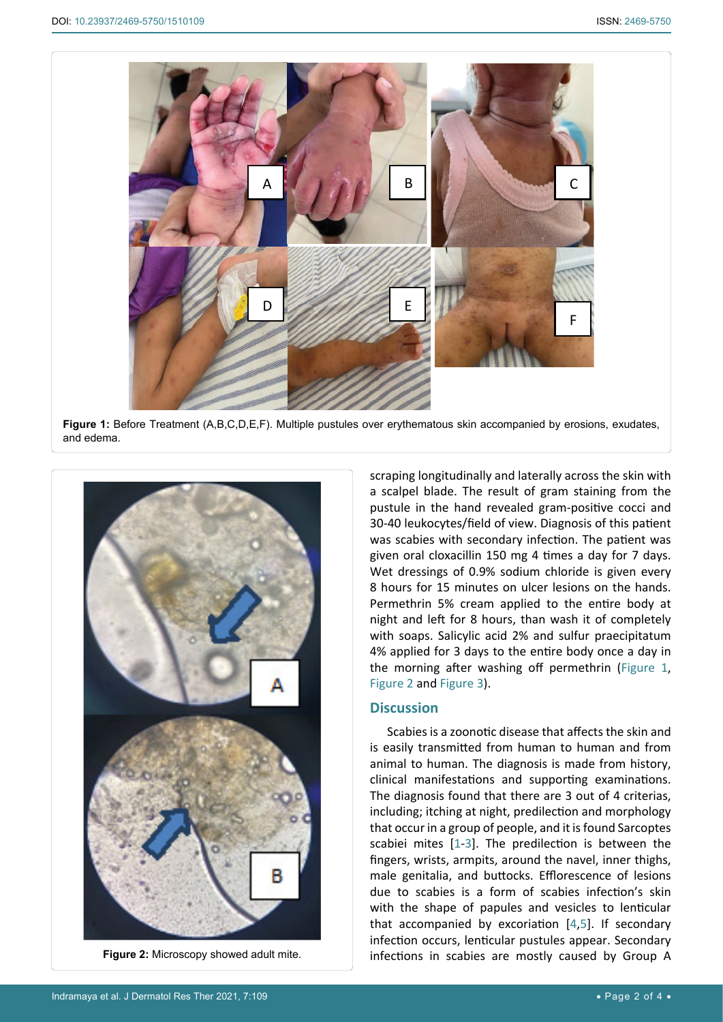<span id="page-1-0"></span>٦

<span id="page-1-1"></span>Ĩ



**Figure 1:** Before Treatment (A,B,C,D,E,F). Multiple pustules over erythematous skin accompanied by erosions, exudates, and edema.



**Figure 2:** Microscopy showed adult mite.

scraping longitudinally and laterally across the skin with a scalpel blade. The result of gram staining from the pustule in the hand revealed gram-positive cocci and 30-40 leukocytes/field of view. Diagnosis of this patient was scabies with secondary infection. The patient was given oral cloxacillin 150 mg 4 times a day for 7 days. Wet dressings of 0.9% sodium chloride is given every 8 hours for 15 minutes on ulcer lesions on the hands. Permethrin 5% cream applied to the entire body at night and left for 8 hours, than wash it of completely with soaps. Salicylic acid 2% and sulfur praecipitatum 4% applied for 3 days to the entire body once a day in the morning after washing off permethrin ([Figure 1](#page-1-0), [Figure 2](#page-1-1) and [Figure 3](#page-2-0)).

## **Discussion**

Scabies is a zoonotic disease that affects the skin and is easily transmitted from human to human and from animal to human. The diagnosis is made from history, clinical manifestations and supporting examinations. The diagnosis found that there are 3 out of 4 criterias, including; itching at night, predilection and morphology that occur in a group of people, and it is found Sarcoptes scabiei mites [[1](#page-2-1)-[3](#page-2-2)]. The predilection is between the fingers, wrists, armpits, around the navel, inner thighs, male genitalia, and buttocks. Efflorescence of lesions due to scabies is a form of scabies infection's skin with the shape of papules and vesicles to lenticular that accompanied by excoriation  $[4,5]$  $[4,5]$  $[4,5]$  $[4,5]$ . If secondary infection occurs, lenticular pustules appear. Secondary infections in scabies are mostly caused by Group A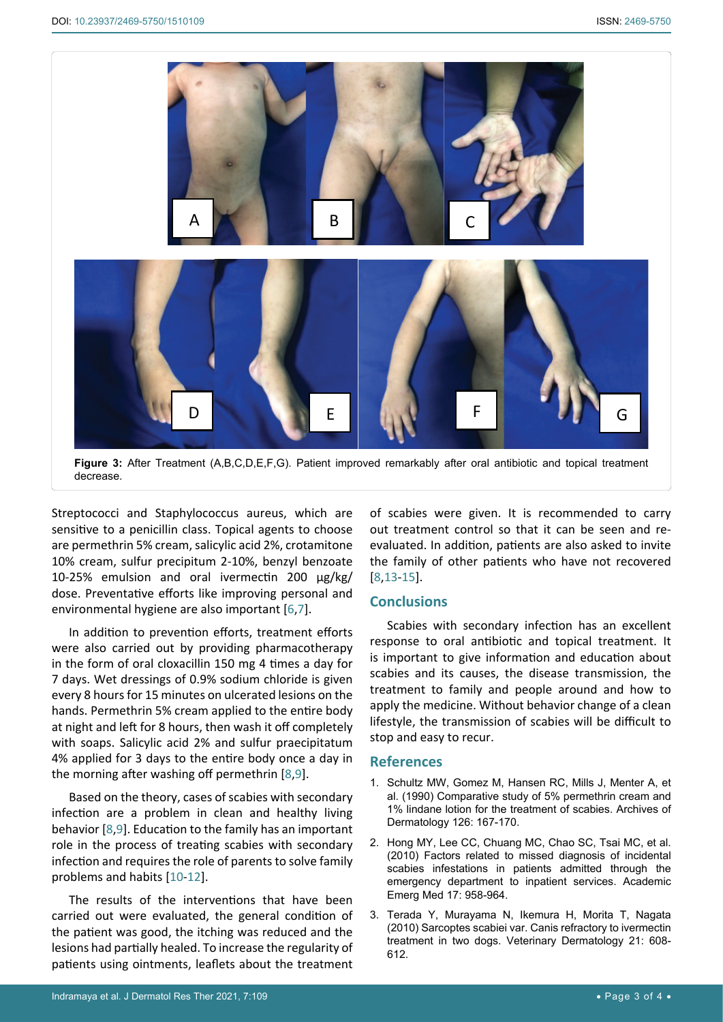<span id="page-2-0"></span>٦



**Figure 3:** After Treatment (A,B,C,D,E,F,G). Patient improved remarkably after oral antibiotic and topical treatment decrease.

Streptococci and Staphylococcus aureus, which are sensitive to a penicillin class. Topical agents to choose are permethrin 5% cream, salicylic acid 2%, crotamitone 10% cream, sulfur precipitum 2-10%, benzyl benzoate 10-25% emulsion and oral ivermectin 200 μg/kg/ dose. Preventative efforts like improving personal and environmental hygiene are also important [[6](#page-3-5),[7](#page-3-6)].

In addition to prevention efforts, treatment efforts were also carried out by providing pharmacotherapy in the form of oral cloxacillin 150 mg 4 times a day for 7 days. Wet dressings of 0.9% sodium chloride is given every 8 hours for 15 minutes on ulcerated lesions on the hands. Permethrin 5% cream applied to the entire body at night and left for 8 hours, then wash it off completely with soaps. Salicylic acid 2% and sulfur praecipitatum 4% applied for 3 days to the entire body once a day in the morning after washing off permethrin [[8](#page-3-2),[9](#page-3-7)].

Based on the theory, cases of scabies with secondary infection are a problem in clean and healthy living behavior [[8](#page-3-2),[9](#page-3-7)]. Education to the family has an important role in the process of treating scabies with secondary infection and requires the role of parents to solve family problems and habits [[10](#page-3-8)-[12](#page-3-9)].

The results of the interventions that have been carried out were evaluated, the general condition of the patient was good, the itching was reduced and the lesions had partially healed. To increase the regularity of patients using ointments, leaflets about the treatment

of scabies were given. It is recommended to carry out treatment control so that it can be seen and reevaluated. In addition, patients are also asked to invite the family of other patients who have not recovered [\[8,](#page-3-2)[13-](#page-3-3)[15](#page-3-4)].

# **Conclusions**

Scabies with secondary infection has an excellent response to oral antibiotic and topical treatment. It is important to give information and education about scabies and its causes, the disease transmission, the treatment to family and people around and how to apply the medicine. Without behavior change of a clean lifestyle, the transmission of scabies will be difficult to stop and easy to recur.

# **References**

- <span id="page-2-1"></span>1. [Schultz MW, Gomez M, Hansen RC, Mills J, Menter A, et](https://pubmed.ncbi.nlm.nih.gov/1689135/)  [al. \(1990\) Comparative study of 5% permethrin cream and](https://pubmed.ncbi.nlm.nih.gov/1689135/)  [1% lindane lotion for the treatment of scabies. Archives of](https://pubmed.ncbi.nlm.nih.gov/1689135/)  [Dermatology 126: 167-170.](https://pubmed.ncbi.nlm.nih.gov/1689135/)
- 2. [Hong MY, Lee CC, Chuang MC, Chao SC, Tsai MC, et al.](https://pubmed.ncbi.nlm.nih.gov/20836776/)  [\(2010\) Factors related to missed diagnosis of incidental](https://pubmed.ncbi.nlm.nih.gov/20836776/)  [scabies infestations in patients admitted through the](https://pubmed.ncbi.nlm.nih.gov/20836776/)  [emergency department to inpatient services. Academic](https://pubmed.ncbi.nlm.nih.gov/20836776/)  [Emerg Med 17: 958-964.](https://pubmed.ncbi.nlm.nih.gov/20836776/)
- <span id="page-2-2"></span>3. [Terada Y, Murayama N, Ikemura H, Morita T, Nagata](https://pubmed.ncbi.nlm.nih.gov/20880016/)  [\(2010\) Sarcoptes scabiei var. Canis refractory to ivermectin](https://pubmed.ncbi.nlm.nih.gov/20880016/)  [treatment in two dogs. Veterinary Dermatology 21: 608-](https://pubmed.ncbi.nlm.nih.gov/20880016/) [612.](https://pubmed.ncbi.nlm.nih.gov/20880016/)